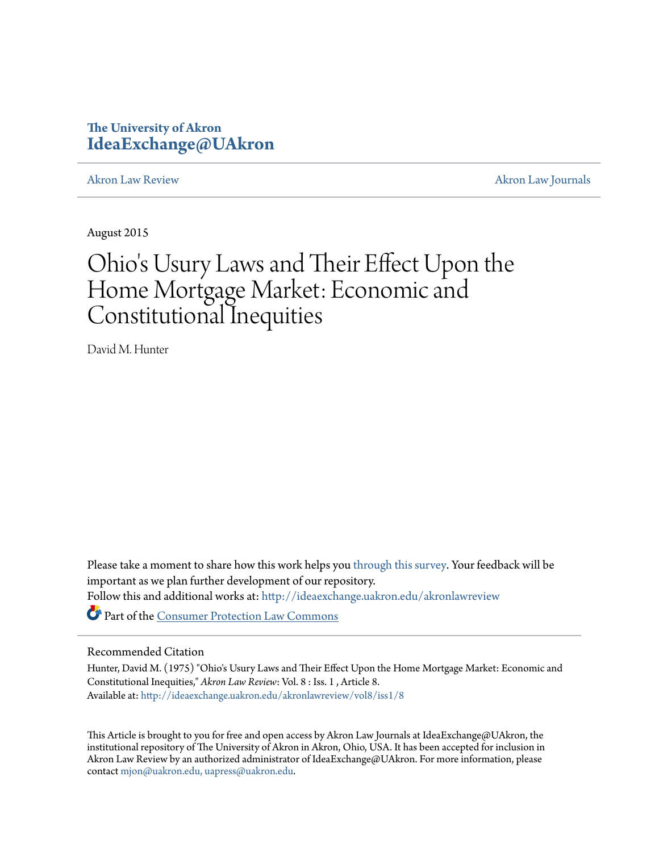# **The University of Akron [IdeaExchange@UAkron](http://ideaexchange.uakron.edu?utm_source=ideaexchange.uakron.edu%2Fakronlawreview%2Fvol8%2Fiss1%2F8&utm_medium=PDF&utm_campaign=PDFCoverPages)**

[Akron Law Review](http://ideaexchange.uakron.edu/akronlawreview?utm_source=ideaexchange.uakron.edu%2Fakronlawreview%2Fvol8%2Fiss1%2F8&utm_medium=PDF&utm_campaign=PDFCoverPages) [Akron Law Journals](http://ideaexchange.uakron.edu/akronlawjournals?utm_source=ideaexchange.uakron.edu%2Fakronlawreview%2Fvol8%2Fiss1%2F8&utm_medium=PDF&utm_campaign=PDFCoverPages)

August 2015

# Ohio's Usury Laws and Their Effect Upon the Home Mortgage Market: Economic and Constitutional Inequities

David M. Hunter

Please take a moment to share how this work helps you [through this survey.](http://survey.az1.qualtrics.com/SE/?SID=SV_eEVH54oiCbOw05f&URL=http://ideaexchange.uakron.edu/akronlawreview/vol8/iss1/8) Your feedback will be important as we plan further development of our repository. Follow this and additional works at: [http://ideaexchange.uakron.edu/akronlawreview](http://ideaexchange.uakron.edu/akronlawreview?utm_source=ideaexchange.uakron.edu%2Fakronlawreview%2Fvol8%2Fiss1%2F8&utm_medium=PDF&utm_campaign=PDFCoverPages) Part of the [Consumer Protection Law Commons](http://network.bepress.com/hgg/discipline/838?utm_source=ideaexchange.uakron.edu%2Fakronlawreview%2Fvol8%2Fiss1%2F8&utm_medium=PDF&utm_campaign=PDFCoverPages)

# Recommended Citation

Hunter, David M. (1975) "Ohio's Usury Laws and Their Effect Upon the Home Mortgage Market: Economic and Constitutional Inequities," *Akron Law Review*: Vol. 8 : Iss. 1 , Article 8. Available at: [http://ideaexchange.uakron.edu/akronlawreview/vol8/iss1/8](http://ideaexchange.uakron.edu/akronlawreview/vol8/iss1/8?utm_source=ideaexchange.uakron.edu%2Fakronlawreview%2Fvol8%2Fiss1%2F8&utm_medium=PDF&utm_campaign=PDFCoverPages)

This Article is brought to you for free and open access by Akron Law Journals at IdeaExchange@UAkron, the institutional repository of The University of Akron in Akron, Ohio, USA. It has been accepted for inclusion in Akron Law Review by an authorized administrator of IdeaExchange@UAkron. For more information, please contact [mjon@uakron.edu, uapress@uakron.edu.](mailto:mjon@uakron.edu,%20uapress@uakron.edu)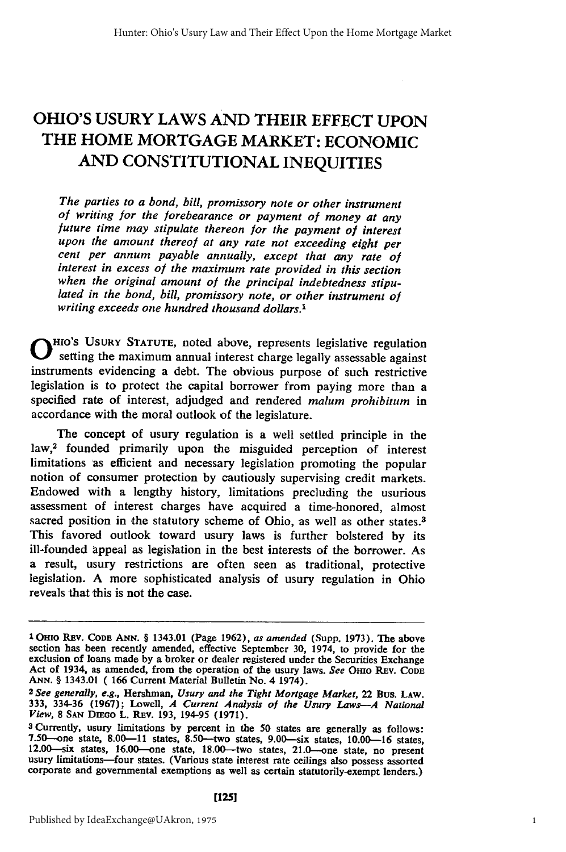# **OHIO'S USURY** LAWS **AND** THEIR **EFFECT UPON** THE HOME MORTGAGE MARKET: **ECONOMIC AND CONSTITUTIONAL INEQUITIES**

The *parties to a bond, bill, promissory note or other instrument of writing for the forebearance or payment of money at any future time may stipulate thereon for the payment of interest upon the amount thereof at any rate not exceeding eight per cent per annum payable annually, except that any rate of interest in excess of the maximum rate provided in this section when the original amount of the principal indebtedness stipulated in the bond, bill, promissory note, or other instrument of writing exceeds one hundred thousand dollars.'*

**0 IO'S** USURY **STATUTE,** noted above, represents legislative regulation setting the maximum annual interest charge legally assessable against instruments evidencing a debt. The obvious purpose of such restrictive legislation is to protect the capital borrower from paying more than a specified rate of interest, adjudged and rendered *malum prohibitum* in accordance with the moral outlook of the legislature.

The concept of usury regulation is a well settled principle in the law,<sup>2</sup> founded primarily upon the misguided perception of interest limitations as efficient and necessary legislation promoting the popular notion of consumer protection by cautiously supervising credit markets. Endowed with a lengthy history, limitations precluding the usurious assessment of interest charges have acquired a time-honored, almost sacred position in the statutory scheme of Ohio, as well as other states.<sup>3</sup> This favored outlook toward usury laws is further bolstered by its ill-founded appeal as legislation in the best interests of the borrower. As a result, usury restrictions are often seen as traditional, protective legislation. A more sophisticated analysis of usury regulation in Ohio reveals that this is not the case.

**I OHio REv. CODE ANN.** § 1343.01 (Page **1962),** *as amended* (Supp. 1973). The above exclusion of loans made by a broker or dealer registered under the Securities Exchange<br>Act of 1934, as amended, from the operation of the usury laws. See OHIO REV. CODE<br>ANN. § 1343.01 (166 Current Material Bulletin No. 4 1

**ANN.** § 1343.01 ( 166 Current Material Bulletin No. 4 1974). *<sup>2</sup> See generally, e.g.,* Hershman, *Usury and the Tight Mortgage Market,* 22 Bus. **LAw. 333, 334-36 (1967);** Lowell, *A* **Current** *Analysis* **of** *the Usury Laws--A National View,* **8 SAN** DEEuo L. REv. **193,** 194-95 **(1971).**

**<sup>3</sup>** Currently, usury limitations **by** percent in the **50** states are generally as follows: 7.50--one state, **8.00-11** states, 8.50-two states, 9.00--six states, **10.00-16** states, 12.00--six states, 16.00-one state, 18.00--two states, 21.0--one state, no present usury limitations-four states. (Various state interest rate ceilings also possess assorted corporate and governmental exemptions as well as certain statutorily-exempt lenders.)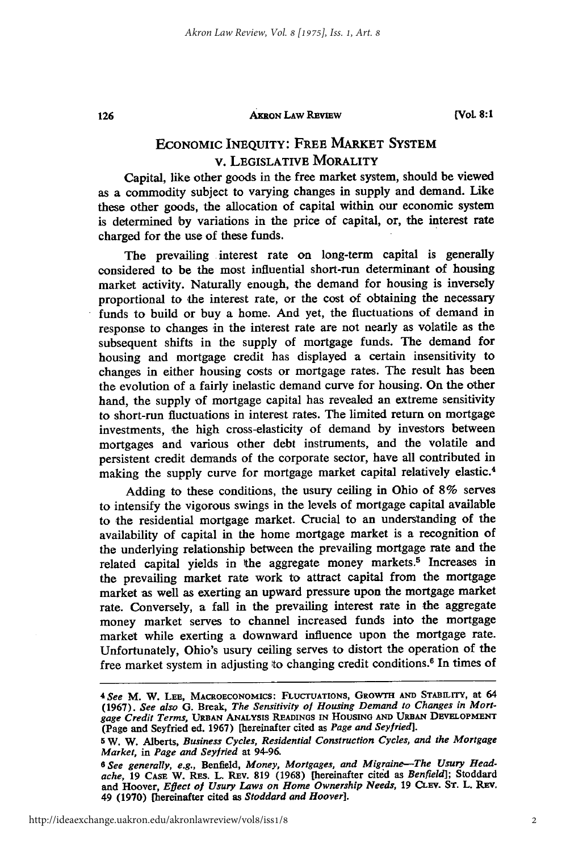#### AKRON **LAW** REVIEW

126

## ECONOMIC **INEQUITY:** FREE MARKET **SYSTEM** v. LEGISLATIVE MORALITY

Capital, like other goods in the free market system, should be viewed as a commodity subject to varying changes in supply and demand. Like these other goods, the allocation of capital within our economic system is determined by variations in the price of capital, or, the interest rate charged for the use of these funds.

The prevailing interest rate on long-term capital is generally considered to be the most influential short-run determinant of housing market activity. Naturally enough, the demand for housing is inversely proportional to the interest rate, or the cost of obtaining the necessary funds to build or buy a home. And yet, the fluctuations of demand in response to changes in the interest rate are not nearly as volatile as the subsequent shifts in the supply of mortgage funds. The demand for housing and mortgage credit has displayed a certain insensitivity to changes in either housing costs or mortgage rates. The result has been the evolution of a fairly inelastic demand curve for housing. On the other hand, the supply of mortgage capital has revealed an extreme sensitivity to short-run fluctuations in interest rates. The limited return on mortgage investments, the high cross-elasticity of demand by investors between mortgages and various other debt instruments, and the volatile and persistent credit demands of the corporate sector, have all contributed in making the supply curve for mortgage market capital relatively elastic.<sup>4</sup>

Adding to these conditions, the usury ceiling in Ohio of 8% serves to intensify the vigorous swings in the levels of mortgage capital available to the residential mortgage market. Crucial to an understanding of the availability of capital in the home mortgage market is a recognition of the underlying relationship between the prevailing mortgage rate and the related capital yields in the aggregate money markets.5 Increases in the prevailing market rate work to attract capital from the mortgage market as well as exerting an upward pressure upon the mortgage market rate. Conversely, a fall in the prevailing interest rate in the aggregate money market serves to channel increased funds into the mortgage market while exerting a downward influence upon the mortgage rate. Unfortunately, Ohio's usury ceiling serves to distort the operation of the free market system in adjusting to changing credit conditions. 6 In times of

*<sup>4</sup>See* M. **W. LEE, MACROECONOMICS: FLUCTUATIONS, GROWTH AND** STABILITY, at **<sup>64</sup> (1967).** *See also* **G.** Break, *The Sensitivity of Housing Demand to Changes in Mortgage Credit Terms,* **URBAN ANALYSIS READINGS IN HOUSING AND URBAN DEVELOPMENT (Page** and Seyfried ed. **1967)** [hereinafter cited as *Page and Seyfried].*

**<sup>5</sup>**W. W. Alberts, *Business Cycles, Residential Construction Cycles, and the Mortgage Market, in Page and Seyfried* at 94-96.

*<sup>6</sup> See generally, e.g.,* Benfield, *Money, Mortgages, and Migraine-The Usury Headache,* **19 CASE** W. RES. L. REv. **819 (1968)** [hereinafter cited as *Benfield];* Stoddard **and** Hoover, *Eflect of Usury Laws on Home Ownership Needs,* **19 CLEV. ST.** L. **REV.** 49 **(1970)** [hereinafter cited **as** *Stoddard and Hoover].*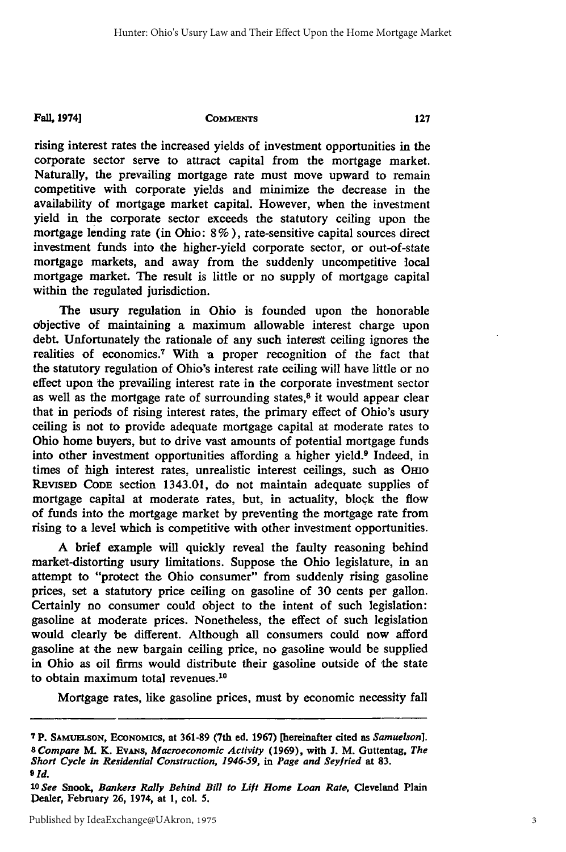#### **Fall, 1974]**

#### **COMMENTS**

rising interest rates the increased yields of investment opportunities in the corporate sector serve to attract capital from the mortgage market. Naturally, the prevailing mortgage rate must move upward to remain competitive with corporate yields and minimize the decrease in the availability of mortgage market capital. However, when the investment yield in the corporate sector exceeds the statutory ceiling upon the mortgage lending rate (in Ohio: **8 % ),** rate-sensitive capital sources direct investment funds into the higher-yield corporate sector, or out-of-state mortgage markets, and away from the suddenly uncompetitive local mortgage market. The result is little or no supply of mortgage capital within the regulated jurisdiction.

The usury regulation in Ohio is founded upon the honorable objective of maintaining a maximum allowable interest charge upon debt. Unfortunately the rationale of any such interest ceiling ignores the realities of economics.<sup>7</sup> With a proper recognition of the fact that the statutory regulation of Ohio's interest rate ceiling will have little or no effect upon the prevailing interest rate in the corporate investment sector as well as the mortgage rate of surrounding states, $8$  it would appear clear that in periods of rising interest rates, the primary effect of Ohio's usury ceiling is not to provide adequate mortgage capital at moderate rates to Ohio home buyers, but to drive vast amounts of potential mortgage funds into other investment opportunities affording a higher yield.<sup>9</sup> Indeed, in times of high interest rates, unrealistic interest ceilings, such as **OHIO REVISED CODE** section 1343.01, do not maintain adequate supplies of mortgage capital at moderate rates, but, in actuality, block the flow of funds into the mortgage market **by** preventing the mortgage rate from rising to a level which is competitive with other investment opportunities.

**A** brief example will quickly reveal the faulty reasoning behind market-distorting usury limitations. Suppose the Ohio legislature, in an attempt to "protect the Ohio consumer" from suddenly rising gasoline prices, set a statutory price ceiling on gasoline of **30** cents per gallon. Certainly no consumer could object to the intent of such legislation: gasoline at moderate prices. Nonetheless, the effect of such legislation would clearly be different. Although all consumers could now afford gasoline at the new bargain ceiling price, no gasoline would be supplied in Ohio as oil firms would distribute their gasoline outside of the state to obtain maximum total revenues.<sup>10</sup>

Mortgage rates, like gasoline prices, must **by** economic necessity fall

**<sup>7</sup>p. SAMUELSON, ECONOMICS,** at **361-89 (7th ed. 1967) [hereinafter cited** as *Samuelson]. 8 Compare* M. K. EvANs, *Macroeconomic Activity* **(1969),** with **J.** M. Guttentag, *The Short* **Cycle in** *Residential Construction, 1946-59, in Page* **and** *Seyfried* at **83.** *9 Id.*

**<sup>10</sup>***See* **Snook,** *Bankers Rally Behind Bill to Lift Home Loan Rate,* Cleveland Plain **Dealer, February 26, 1974, at 1, col. 5.**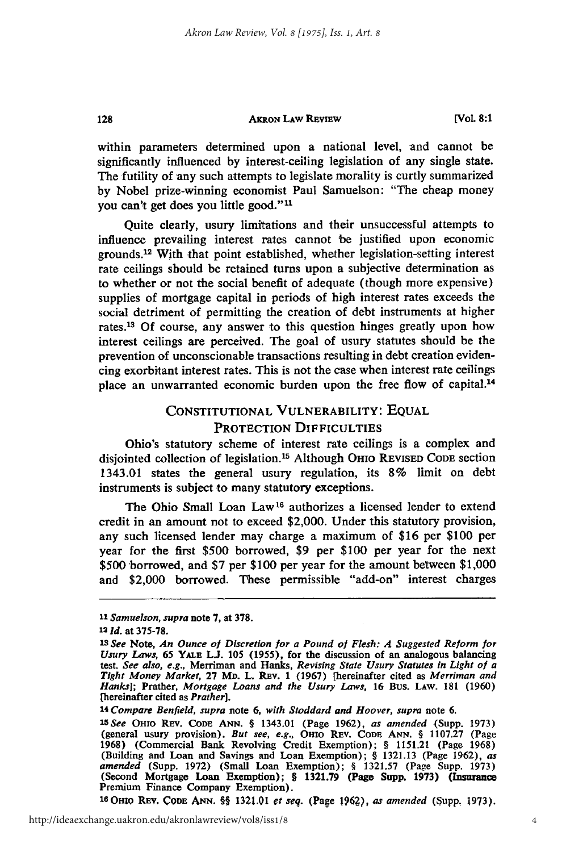#### **AKRON LAw REvIEW**

**[Vol 8:1**

within parameters determined upon a national level, and cannot be significantly influenced by interest-ceiling legislation of any single state. The futility of any such attempts to legislate morality is curtly summarized by Nobel prize-winning economist Paul Samuelson: "The cheap money you can't get does you little good."<sup>11</sup>

Quite clearly, usury limitations and their unsuccessful attempts to influence prevailing interest rates cannot be justified upon economic grounds.<sup>12</sup> With that point established, whether legislation-setting interest rate ceilings should be retained turns upon a subjective determination as to whether or not the social benefit of adequate (though more expensive) supplies of mortgage capital in periods of high interest rates exceeds the social detriment of permitting the creation of debt instruments at higher rates.<sup>13</sup> Of course, any answer to this question hinges greatly upon how interest ceilings are perceived. The goal of usury statutes should be the prevention of unconscionable transactions resulting in debt creation evidencing exorbitant interest rates. This is not the case when interest rate ceilings place an unwarranted economic burden upon the free flow of capital.<sup>14</sup>

# CONSTITUTIONAL VULNERABILITY: EQUAL PROTECTION DIFFICULTIES

Ohio's statutory scheme of interest rate ceilings is a complex and disjointed collection of legislation.'5 Although OHIo REVISED **CODE** section 1343.01 states the general usury regulation, its **8%** limit on debt instruments is subject to many statutory exceptions.

The Ohio Small Loan Law<sup>16</sup> authorizes a licensed lender to extend credit in an amount not to exceed \$2,000. Under this statutory provision, any such licensed lender may charge a maximum of \$16 per \$100 per year for the first \$500 borrowed, \$9 per \$100 per year for the next \$500 borrowed, and \$7 per \$100 per year for the amount between \$1,000 and \$2,000 borrowed. These permissible "add-on" interest charges

128

*<sup>14</sup>Compare Benfield, supra* note **6,** *with Stoddard and Hoover, supra* note **6.**

'eOmo REV. **CODE Am.** §§ 1321.01 *et seq.* (Page **1962),** *as amended* (Supp, **1973).**

*<sup>11</sup>Samuelson, supra* note **7,** at **378.**

**<sup>12</sup>***Id.* at **375-78.**

*<sup>13</sup>See* Note, *An Ounce of Discretion for a Pound of Flesh: A Suggested Reform for* Usury Laws, 65 YALE L.J. 105 (1955), for the discussion of an analogous balancing test. *See also, e.g.,* Merriman and Hanks, *Revising State Usury Statutes in Light of a Tight Money Market,* **27** MD. L. REv. 1 **(1967)** [hereinafter cited as *Merriman and Hanks];* Prather, *Mortgage Loans and the Usury Laws,* **16** Bus. **LAw. 181 (1960)** [hereinafter cited as *Prather].*

*<sup>15</sup>See* OHIO Rav. CODE **ANN.** § 1343.01 (Page 1962), *as amended* (Supp. **1973)** (general usury provision). *But see, e.g.,* **OHIO REv. CODE ANN.** § **1107.27** (Page **1968)** (Commercial Bank Revolving Credit Exemption); § **1151.21** (Page **1968)** (Building and Loan and Savings and Loan Exemption); § **1321.13** (Page **1962),** *as amended* (Supp. **1972)** (Small Loan Exemption); § **1321.57** (Page Supp. **1973)** (Second Mortgage Loan Exemption); **§ 1321.79** (Page Supp. **1973)** (Insurance Premium Finance Company Exemption).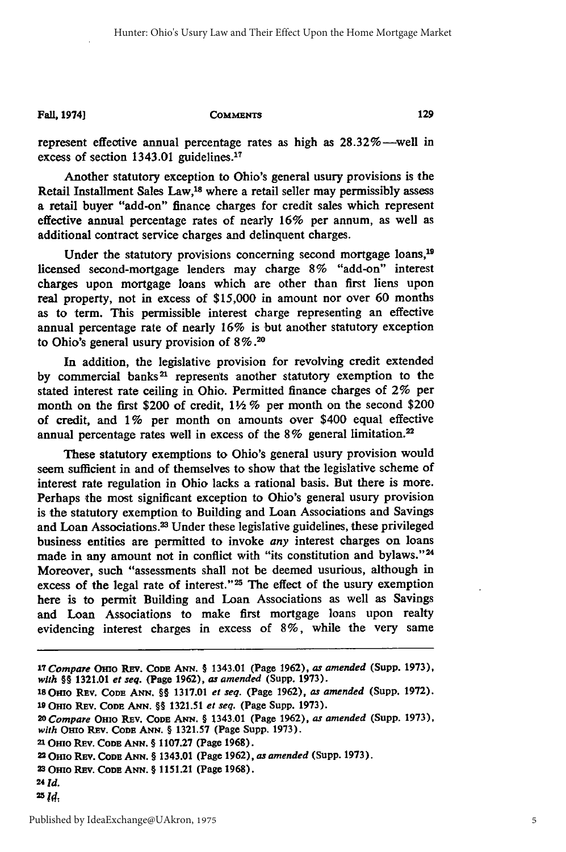**Fall, 19741**

#### **COMMENTS**

represent effective annual percentage rates as high as  $28.32\%$ —well in excess of section 1343.01 guidelines.17

Another statutory exception to Ohio's general usury provisions is the Retail Installment Sales Law,18 where a retail seller may permissibly assess a retail buyer "add-on" finance charges for credit sales which represent effective annual percentage rates of nearly 16% per annum, as well as additional contract service charges and delinquent charges.

Under the statutory provisions concerning second mortgage loans,<sup>19</sup> licensed second-mortgage lenders may charge 8% "add-on" interest charges upon mortgage loans which are other than first liens upon real property, not in excess of \$15,000 in amount nor over 60 months as to term. This permissible interest charge representing an effective annual percentage rate of nearly 16% is but another statutory exception to Ohio's general usury provision of 8% **.20**

In addition, the legislative provision for revolving credit extended by commercial banks<sup>21</sup> represents another statutory exemption to the stated interest rate ceiling in Ohio. Permitted finance charges of 2% per month on the first \$200 of credit, *1V2* % per month on the second \$200 of credit, and 1% per month on amounts over \$400 equal effective annual percentage rates well in excess of the 8% general limitation.<sup>22</sup>

These statutory exemptions to Ohio's general usury provision would seem sufficient in and of themselves to show that the legislative scheme of interest rate regulation in Ohio lacks a rational basis. But there is more. Perhaps the most significant exception to Ohio's general usury provision is the statutory exemption to Building and Loan Associations and Savings and Loan Associations.<sup>23</sup> Under these legislative guidelines, these privileged business entities are permitted to invoke *any* interest charges on loans made in any amount not in conflict with "its constitution and bylaws."<sup>24</sup> Moreover, such "assessments shall not be deemed usurious, although in excess of the legal rate of interest."<sup>25</sup> The effect of the usury exemption here is to permit Building and Loan Associations as well as Savings and Loan Associations to make first mortgage loans upon realty evidencing interest charges in excess of **8%,** while the very same

129

*<sup>17</sup> Compare* ORio Rav. **CODE ANN.** § 1343.01 (Page **1962),** *as amended* (Supp. **1973),** *with §§* **1321.01** *et seq.* **(Page 1962),** as *amended* (Supp. **1973).**

**<sup>18</sup> Omo REv. CODE ANN.** §§ **1317.01** *et seq.* (Page **1962),** *as amended* (Supp. **1972). 19 OHIo REv. CODE ANN.** §§ **1321.51** *et seq.* **(Page Supp. 1973).**

*<sup>2</sup> o Compare* **OHIO REv. CODE ANN.** § 1343.01 **(Page 1962),** as *amended* **(Supp. 1973),** *with* OxIo **REv. CODE ANN.** § **1321.57 (Page Supp. 1973).**

<sup>&</sup>lt;sup>21</sup> Ohio Rev. Cobe Ann. § 1107.27 (Page 1968).<br>22 Ohio Rev. Cobe Ann. § 1343.01 (Page 1962), *as amended* (Supp. 1973).<br>23 Ohio Rev. Cobe Ann. § 1151.21 (Page 1968).

**<sup>24</sup>** *Id.*

<sup>25</sup> *Id.*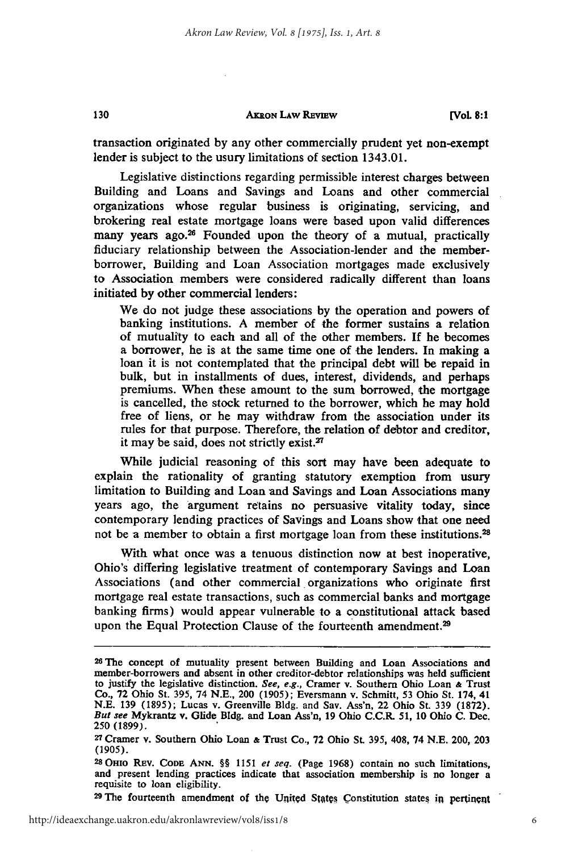#### **AKRON LAW REVIEW**

130

transaction originated **by** any other commercially prudent yet non-exempt lender is subject to the usury limitations of section 1343.01.

Legislative distinctions regarding permissible interest charges between Building and Loans and Savings and Loans and other commercial organizations whose regular business is originating, servicing, and brokering real estate mortgage loans were based upon valid differences many years ago.<sup>26</sup> Founded upon the theory of a mutual, practically fiduciary relationship between the Association-lender and the memberborrower, Building and Loan Association mortgages made exclusively to Association members were considered radically different than loans initiated **by** other commercial lenders:

We do not judge these associations **by** the operation and powers of banking institutions. A member of the former sustains a relation of mutuality to each 'and all of the other members. **If** he becomes a borrower, he is at the same time one of the lenders. In making a loan it is not contemplated that the principal debt will be repaid in bulk, but in installments of dues, interest, dividends, and perhaps premiums. When these amount to the sum borrowed, the mortgage is cancelled, the stock returned to the borrower, which he may hold free of liens, or he may withdraw from the association under its rules for that purpose. Therefore, the relation of debtor and creditor, it may be said, does not strictly exist.<sup>27</sup>

While judicial reasoning of this sort may have been adequate to explain the rationality of granting statutory exemption from usury limitation to Building and Loan and Savings and Loan Associations many years ago, the argument retains no persuasive vitality today, since contemporary lending practices of Savings and Loans show that one need not be a member to obtain a first mortgage loan from these institutions.<sup>28</sup>

With what once was a tenuous distinction now at best inoperative, Ohio's differing legislative treatment of contemporary Savings and Loan Associations (and other commercial organizations who originate first mortgage real estate transactions, such as commercial banks and mortgage banking firms) would appear vulnerable to a constitutional attack based upon the Equal Protection Clause of the fourteenth amendment.<sup>29</sup>

**28 OHio RaV.** CoDE **ANN.** §§ **1151** *et seq.* (Page **1968)** contain no such limitations, and present lending practices indicate that association membership is no longer a requisite to loan eligibility.

<sup>29</sup> The fourteenth amendment of the United States Constitution states in pertinent

**<sup>26</sup>The** concept of mutuality present between Building and Loan Associations and member-borrowers and absent in other creditor-debtor relationships was held sufficient to justify the legislative distinction. *See, e.g.,* Cramer v. Southern Ohio Loan **&** Trust Co., **72** Ohio St. **395,** 74 **N.E.,** 200 **(1905);** Eversmann v. Schmitt, **53** Ohio St. 174, 41 **N.E. 139 (1895);** Lucas v. Greenville **Bldg.** and Say. Ass'n, 22 Ohio St. **339 (1872).** *But see* Mykrantz v. Glide **Bldg.** and Loan Ass'n, **19** Ohio C.C.R. **51, 10** Ohio **C.** Dec. **250 (1899).**

**<sup>27</sup>**Cramer v. Southern Ohio Loan **&** Trust Co., **72** Ohio St. **395,** 408, 74 **N.E.** 200, **203** (1905).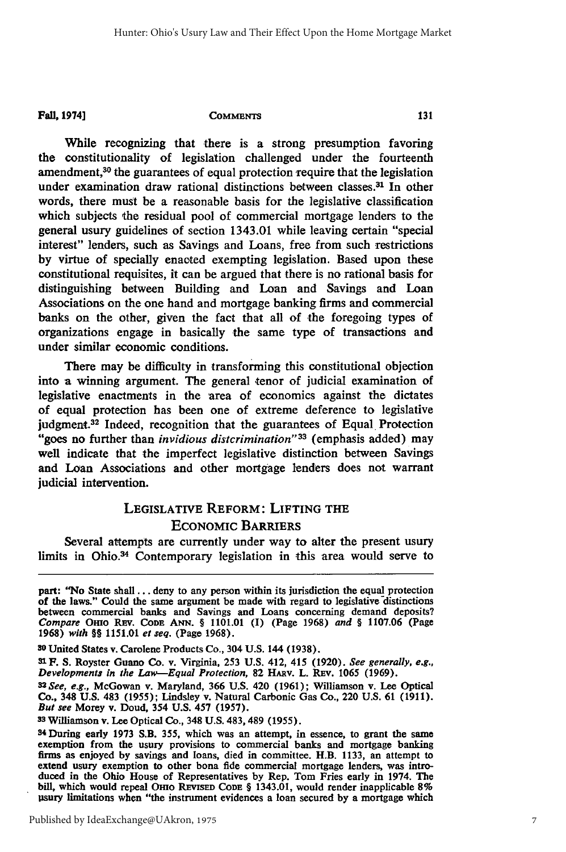**Fall, 1974]**

**COMMENTS** 

While recognizing that there is a strong presumption favoring the constitutionality of legislation challenged under the fourteenth amendment,<sup>30</sup> the guarantees of equal protection require that the legislation under examination draw rational distinctions between classes. $31$  In other words, there must be a reasonable basis for the legislative classification which subjects the residual pool of commercial mortgage lenders to the general usury guidelines of section 1343.01 while leaving certain "special interest" lenders, such as Savings and Loans, free from such restrictions by virtue of specially enacted exempting legislation. Based upon these constitutional requisites, it can be argued that there is no rational basis for distinguishing between Building and Loan and Savings and Loan Associations on the one hand and mortgage banking firms and commercial banks on the other, given the fact that all of the foregoing types of organizations engage in basically the same type of transactions and under similar economic conditions.

There may be difficulty in transforming this constitutional objection into a winning argument. The general tenor of judicial examination of legislative enactments in the area of economics against the dictates of equal protection has been one of extreme deference to legislative judgment.<sup>32</sup> Indeed, recognition that the guarantees of Equal Protection "goes no further than *invidious distcrimination"33* (emphasis added) may well indicate that the imperfect legislative distinction between Savings and Loan Associations and other mortgage lenders does not warrant judicial intervention.

# LEGISLATIVE REFORM: LIFTING **THE** ECONOMIC BARRIERS

Several attempts are currently under way to alter the present usury limits in Ohio.34 Contemporary legislation in this area would serve to

**so** United States v. Carolene Products Co., 304 **U.S.** 144 **(1938).**

**S1F. S.** Royster Guano Co. v. Virginia, **253 U.S.** 412, 415 **(1920).** *See generally, e.g., Developments in the Law-Equal Protection, 82 HARV. L. REV. 1065 (1969).* 

*<sup>32</sup>See, e.g.,* McGowan v. Maryland, **366 U.S.** 420 **(1961);** Williamson v. Lee Optical Co., 348 **U.S.** 483 **(1955);** Lindsley v. Natural Carbonic Gas Co., 220 **U.S. 61 (1911).**

*But see* Morey v. Doud, 354 **U.S.** 457 **(1957). <sup>33</sup>**Williamson v. Lee Optical Co., 348 **U.S.** 483, 489 **(1955).**

34 During early **1973** S.B. **355,** which was an attempt, in essence, to grant the same exemption from the usury provisions to commercial banks and mortgage banking firms as enjoyed **by** savings and loans, died in committee. H.B. **1133,** an attempt to extend usury exemption to other bona fide commercial mortgage lenders, was introduced in the Ohio House of Representatives **by** Rep. Tom Fries early in 1974. The bill, which would repeal **OHIo REvISED CODE** § 1343.01, would render inapplicable **8%** usury limitations when "the instrument evidences a loan secured **by** a mortgage which

131

part: "No State shall **...** deny to any person within its jurisdiction the equal protection of the laws." Could the same argument be made with regard to legislative-distinctions between commercial banks and Savings and Loans concerning demand deposits? *Compare* Omo **REv.** CODE **ANN.** § **1101.01 (I)** (Page **1968)** *and §* **1107.06** (Page **1968)** *with §§* **1151.01** *et seq.* (Page **1968).**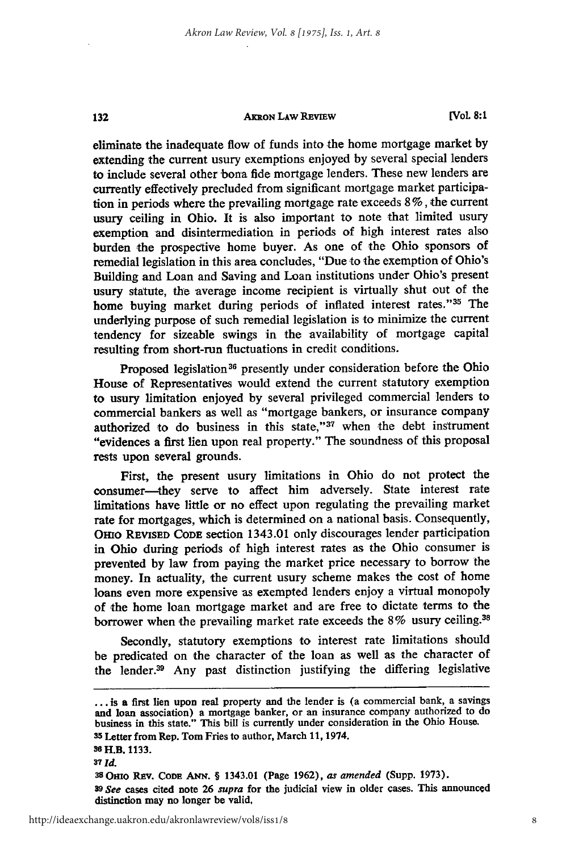#### **AKRON LAW REvIEw**

**[VOL 8:1**

eliminate the inadequate flow of funds into the home mortgage market **by** extending the current usury exemptions enjoyed by several special lenders to include several other bona fide mortgage lenders. These new lenders are currently effectively precluded from significant mortgage market participation in periods where the prevailing mortgage rate exceeds 8 %, the current usury ceiling in Ohio. It is also important to note that limited usury exemption and disintermediation in periods of high interest rates also burden the prospective home buyer. As one of the Ohio sponsors of remedial legislation in this area concludes, "Due to the exemption of Ohio's Building and Loan and Saving and Loan institutions under Ohio's present usury statute, the average income recipient is virtually shut out of the home buying market during periods of inflated interest rates."35 The underlying purpose of such remedial legislation is to minimize the current tendency for sizeable swings in the availability of mortgage capital resulting from short-run fluctuations in credit conditions.

Proposed legislation<sup>36</sup> presently under consideration before the Ohio House of Representatives would extend the current statutory exemption to usury limitation enjoyed by several privileged commercial lenders to commercial bankers as well as "mortgage bankers, or insurance company authorized to do business in this state,"<sup>37</sup> when the debt instrument "evidences a first lien upon real property." The soundness of this proposal rests upon several grounds.

First, the present usury limitations in Ohio do not protect the consumer-they serve to affect him adversely. State interest rate limitations have little or no effect upon regulating the prevailing market rate for mortgages, which is determined on a national basis. Consequently, OHIO REVISED CODE section 1343.01 only discourages lender participation in Ohio during periods of high interest rates as the Ohio consumer is prevented by law from paying the market price necessary to borrow the money. In actuality, the current usury scheme makes the cost of home loans even more expensive as exempted lenders enjoy a virtual monopoly of the home loan mortgage market and are free to dictate terms to the borrower when the prevailing market rate exceeds the 8% usury ceiling.<sup>38</sup>

Secondly, statutory exemptions to interest rate limitations should be predicated on the character of the loan as well as the character of the lender.<sup>39</sup> Any past distinction justifying the differing legislative

132

**<sup>...</sup>** is a first lien upon real property and the lender is (a commercial bank, a savings and loan association) a mortgage banker, or an insurance company authorized to do business in this state." This bill is currently under consideration in the Ohio House. **<sup>35</sup>**Letter from Rep. Tom Fries to author, March **11,** 1974.

<sup>36</sup>H.B. **1133.**

**<sup>37</sup>***id.* **<sup>38</sup> Omo** REv. CODE **ANN.** § 1343.01 (Page 1962), *as amended* (Supp. 1973). *<sup>39</sup>See* cases cited note 26 *supra* for the judicial view in older cases. This announced distinction may no longer be valid,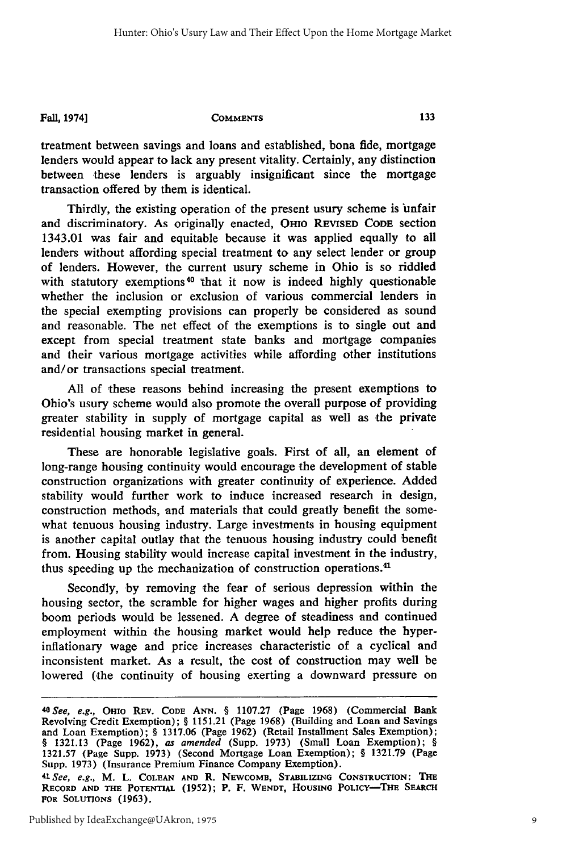**Fall, 1974]**

**COMMENTS** 

treatment between savings and loans and established, bona fide, mortgage lenders would appear to lack any present vitality. Certainly, any distinction between these lenders is arguably insignificant since the mortgage transaction offered by them is identical.

Thirdly, the existing operation of the present usury scheme is unfair and discriminatory. As originally enacted, OHio REVISED **CODE** section 1343.01 was fair and equitable because it was applied equally to all lenders without affording special treatment to any select lender or group of lenders. However, the current usury scheme in Ohio is so riddled with statutory exemptions<sup>40</sup> that it now is indeed highly questionable whether the inclusion or exclusion of various commercial lenders in the special exempting provisions can properly be considered as sound and reasonable. The net effect of the exemptions is to single out and except from special treatment state banks and mortgage companies and their various mortgage activities while affording other institutions and/or transactions special treatment.

All of these reasons behind increasing the present exemptions to Ohio's usury scheme would also promote the overall purpose of providing greater stability in supply of mortgage capital as well as the private residential housing market in general.

These are honorable legislative goals. First of all, an element of long-range housing continuity would encourage the development **of** stable construction organizations with greater continuity of experience. Added stability would further work to induce increased research in design, construction methods, and materials that could greatly benefit the somewhat tenuous housing industry. Large investments in housing equipment is another capital outlay that the tenuous housing industry could benefit from. Housing stability would increase capital investment in the industry, thus speeding up the mechanization of construction operations.4'

Secondly, by removing the fear of serious depression within the housing sector, the scramble for higher wages and higher profits during boom periods would be lessened. A degree of steadiness and continued employment within the housing market would help reduce the hyperinflationary wage and price increases characteristic of a cyclical and inconsistent market. As a result, the cost of construction may well be lowered (the continuity of housing exerting a downward pressure on

*<sup>4</sup> oSee, e.g.,* Omo REv. **CODE ANN.** § **1107.27** (Page **1968)** (Commercial Bank Revolving Credit Exemption); § 1151.21 (Page 1968) (Building and Loan and Savings<br>and Loan Exemption); § 1317.06 (Page 1962) (Retail Installment Sales Exemption);<br>§ 1321.13 (Page 1962), *as amended* (Supp. 1973) (Small Loa 1321.57 (Page Supp. 1973) (Second Mortgage Loan Exemption); § 1321.79 (Page Supp. 1973) (Insurance Premium Finance Company Exemption). *41See, e.g.,* M. L. **COLEAN AND** R. **NEWCOMB, STABILIZING CONSTRUCTION:** THE **RECORD AND THE POTENTIAL (1952);** P. F. **WENDT, HOUSING** POLICY-THE SEARCH **FOR SOLUTIONS (1963).**